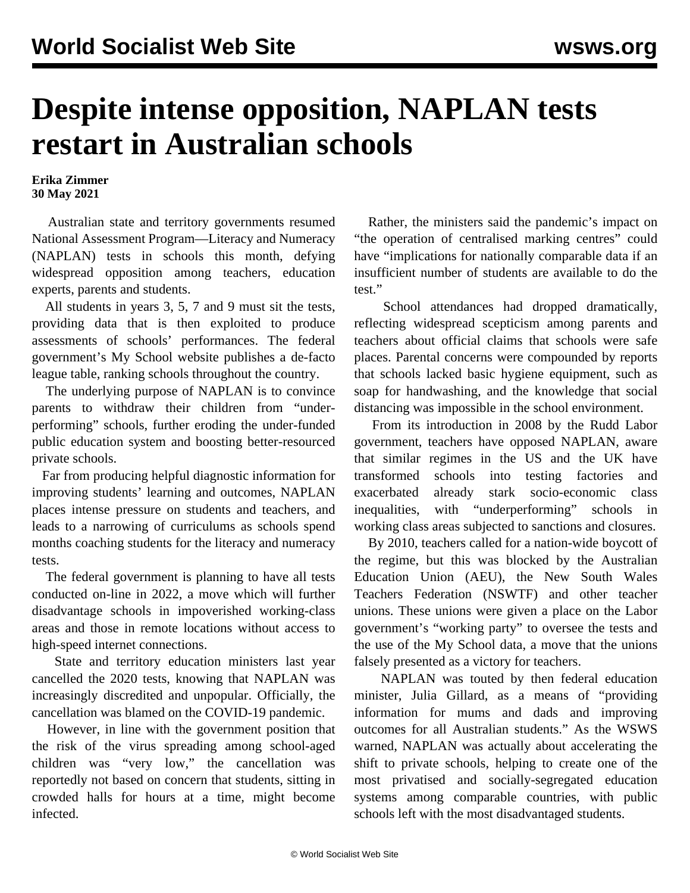## **Despite intense opposition, NAPLAN tests restart in Australian schools**

**Erika Zimmer 30 May 2021**

 Australian state and territory governments resumed National Assessment Program—Literacy and Numeracy (NAPLAN) tests in schools this month, defying widespread opposition among teachers, education experts, parents and students.

 All students in years 3, 5, 7 and 9 must sit the tests, providing data that is then exploited to produce assessments of schools' performances. The federal government's My School website publishes a de-facto league table, ranking schools throughout the country.

 The underlying purpose of NAPLAN is to convince parents to withdraw their children from "underperforming" schools, further eroding the under-funded public education system and boosting better-resourced private schools.

 Far from producing helpful diagnostic information for improving students' learning and outcomes, NAPLAN places intense pressure on students and teachers, and leads to a narrowing of curriculums as schools spend months coaching students for the literacy and numeracy tests.

 The federal government is planning to have all tests conducted on-line in 2022, a move which will further disadvantage schools in impoverished working-class areas and those in remote locations without access to high-speed internet connections.

 State and territory education ministers last year cancelled the 2020 tests, knowing that NAPLAN was increasingly discredited and unpopular. Officially, the cancellation was blamed on the COVID-19 pandemic.

 However, in line with the government position that the risk of the virus spreading among school-aged children was "very low," the cancellation was reportedly not based on concern that students, sitting in crowded halls for hours at a time, might become infected.

 Rather, the ministers said the pandemic's impact on "the operation of centralised marking centres" could have "implications for nationally comparable data if an insufficient number of students are available to do the test."

 School attendances had dropped dramatically, reflecting widespread scepticism among parents and teachers about official claims that schools were safe places. Parental concerns were compounded by reports that schools lacked basic hygiene equipment, such as soap for handwashing, and the knowledge that social distancing was impossible in the school environment.

 From its introduction in 2008 by the Rudd Labor government, teachers have opposed NAPLAN, aware that similar regimes in the US and the UK have transformed schools into testing factories and exacerbated already stark socio-economic class inequalities, with "underperforming" schools in working class areas subjected to sanctions and closures.

 By 2010, teachers called for a nation-wide boycott of the regime, but this was blocked by the Australian Education Union (AEU), the New South Wales Teachers Federation (NSWTF) and other teacher unions. These unions were given a place on the Labor government's "working party" to oversee the tests and the use of the My School data, a move that the unions falsely presented as a [victory](/en/articles/2010/05/test-m07.html) for teachers.

 NAPLAN was touted by then federal education minister, Julia Gillard, as a means of "providing information for mums and dads and improving outcomes for all Australian students." As the WSWS [warned,](/en/articles/2011/05/test-m10.html) NAPLAN was actually about accelerating the shift to private schools, helping to create one of the most privatised and socially-segregated education systems among comparable countries, with public schools left with the most disadvantaged students.